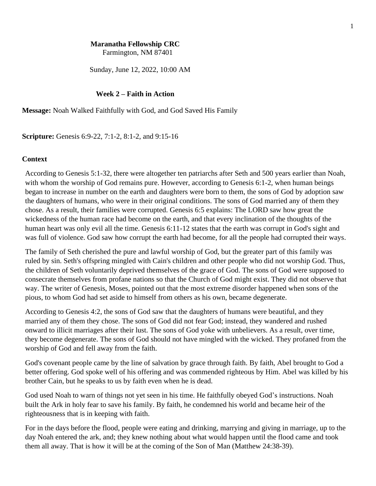# **Maranatha Fellowship CRC**

Farmington, NM 87401

Sunday, June 12, 2022, 10:00 AM

## **Week 2 – Faith in Action**

**Message:** Noah Walked Faithfully with God, and God Saved His Family

**Scripture:** Genesis 6:9-22, 7:1-2, 8:1-2, and 9:15-16

## **Context**

According to Genesis 5:1-32, there were altogether ten patriarchs after Seth and 500 years earlier than Noah, with whom the worship of God remains pure. However, according to Genesis 6:1-2, when human beings began to increase in number on the earth and daughters were born to them, the sons of God by adoption saw the daughters of humans, who were in their original conditions. The sons of God married any of them they chose. As a result, their families were corrupted. Genesis 6:5 explains: The LORD saw how great the wickedness of the human race had become on the earth, and that every inclination of the thoughts of the human heart was only evil all the time. Genesis 6:11-12 states that the earth was corrupt in God's sight and was full of violence. God saw how corrupt the earth had become, for all the people had corrupted their ways.

The family of Seth cherished the pure and lawful worship of God, but the greater part of this family was ruled by sin. Seth's offspring mingled with Cain's children and other people who did not worship God. Thus, the children of Seth voluntarily deprived themselves of the grace of God. The sons of God were supposed to consecrate themselves from profane nations so that the Church of God might exist. They did not observe that way. The writer of Genesis, Moses, pointed out that the most extreme disorder happened when sons of the pious, to whom God had set aside to himself from others as his own, became degenerate.

According to Genesis 4:2, the sons of God saw that the daughters of humans were beautiful, and they married any of them they chose. The sons of God did not fear God; instead, they wandered and rushed onward to illicit marriages after their lust. The sons of God yoke with unbelievers. As a result, over time, they become degenerate. The sons of God should not have mingled with the wicked. They profaned from the worship of God and fell away from the faith.

God's covenant people came by the line of salvation by grace through faith. By faith, Abel brought to God a better offering. God spoke well of his offering and was commended righteous by Him. Abel was killed by his brother Cain, but he speaks to us by faith even when he is dead.

God used Noah to warn of things not yet seen in his time. He faithfully obeyed God's instructions. Noah built the Ark in holy fear to save his family. By faith, he condemned his world and became heir of the righteousness that is in keeping with faith.

For in the days before the flood, people were eating and drinking, marrying and giving in marriage, up to the day Noah entered the ark, and; they knew nothing about what would happen until the flood came and took them all away. That is how it will be at the coming of the Son of Man (Matthew 24:38-39).